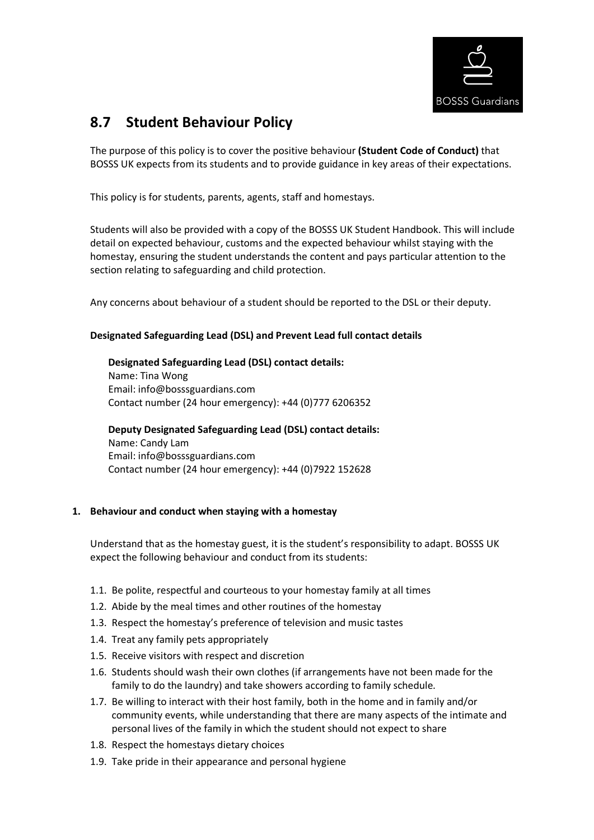

# **8.7 Student Behaviour Policy**

The purpose of this policy is to cover the positive behaviour **(Student Code of Conduct)** that BOSSS UK expects from its students and to provide guidance in key areas of their expectations.

This policy is for students, parents, agents, staff and homestays.

Students will also be provided with a copy of the BOSSS UK Student Handbook. This will include detail on expected behaviour, customs and the expected behaviour whilst staying with the homestay, ensuring the student understands the content and pays particular attention to the section relating to safeguarding and child protection.

Any concerns about behaviour of a student should be reported to the DSL or their deputy.

# **Designated Safeguarding Lead (DSL) and Prevent Lead full contact details**

**Designated Safeguarding Lead (DSL) contact details:**  Name: Tina Wong Email: info@bosssguardians.com Contact number (24 hour emergency): +44 (0)777 6206352

**Deputy Designated Safeguarding Lead (DSL) contact details:**  Name: Candy Lam Email: info@bosssguardians.com Contact number (24 hour emergency): +44 (0)7922 152628

# **1. Behaviour and conduct when staying with a homestay**

Understand that as the homestay guest, it is the student's responsibility to adapt. BOSSS UK expect the following behaviour and conduct from its students:

- 1.1. Be polite, respectful and courteous to your homestay family at all times
- 1.2. Abide by the meal times and other routines of the homestay
- 1.3. Respect the homestay's preference of television and music tastes
- 1.4. Treat any family pets appropriately
- 1.5. Receive visitors with respect and discretion
- 1.6. Students should wash their own clothes (if arrangements have not been made for the family to do the laundry) and take showers according to family schedule.
- 1.7. Be willing to interact with their host family, both in the home and in family and/or community events, while understanding that there are many aspects of the intimate and personal lives of the family in which the student should not expect to share
- 1.8. Respect the homestays dietary choices
- 1.9. Take pride in their appearance and personal hygiene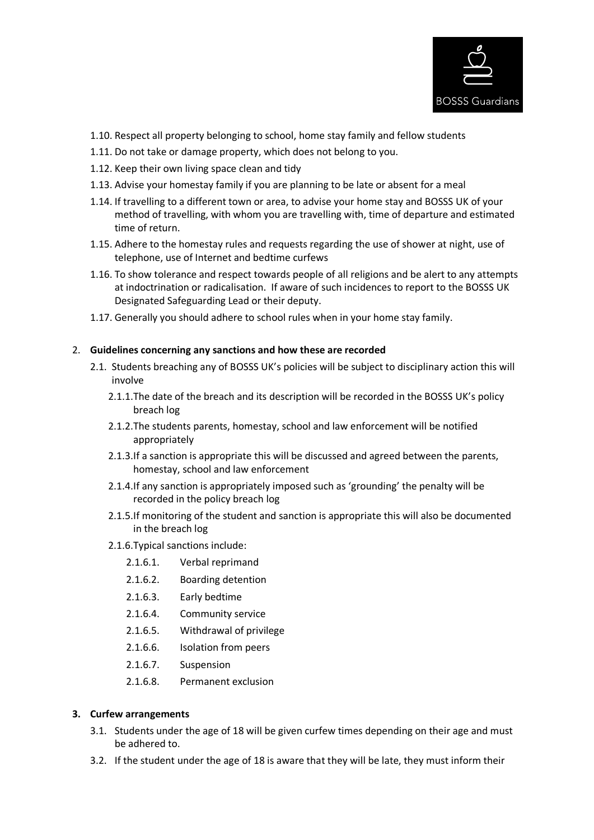

- 1.10. Respect all property belonging to school, home stay family and fellow students
- 1.11. Do not take or damage property, which does not belong to you.
- 1.12. Keep their own living space clean and tidy
- 1.13. Advise your homestay family if you are planning to be late or absent for a meal
- 1.14. If travelling to a different town or area, to advise your home stay and BOSSS UK of your method of travelling, with whom you are travelling with, time of departure and estimated time of return.
- 1.15. Adhere to the homestay rules and requests regarding the use of shower at night, use of telephone, use of Internet and bedtime curfews
- 1.16. To show tolerance and respect towards people of all religions and be alert to any attempts at indoctrination or radicalisation. If aware of such incidences to report to the BOSSS UK Designated Safeguarding Lead or their deputy.
- 1.17. Generally you should adhere to school rules when in your home stay family.

#### 2. **Guidelines concerning any sanctions and how these are recorded**

- 2.1. Students breaching any of BOSSS UK's policies will be subject to disciplinary action this will involve
	- 2.1.1.The date of the breach and its description will be recorded in the BOSSS UK's policy breach log
	- 2.1.2.The students parents, homestay, school and law enforcement will be notified appropriately
	- 2.1.3.If a sanction is appropriate this will be discussed and agreed between the parents, homestay, school and law enforcement
	- 2.1.4.If any sanction is appropriately imposed such as 'grounding' the penalty will be recorded in the policy breach log
	- 2.1.5.If monitoring of the student and sanction is appropriate this will also be documented in the breach log
	- 2.1.6.Typical sanctions include:
		- 2.1.6.1. Verbal reprimand
		- 2.1.6.2. Boarding detention
		- 2.1.6.3. Early bedtime
		- 2.1.6.4. Community service
		- 2.1.6.5. Withdrawal of privilege
		- 2.1.6.6. Isolation from peers
		- 2.1.6.7. Suspension
		- 2.1.6.8. Permanent exclusion

#### **3. Curfew arrangements**

- 3.1. Students under the age of 18 will be given curfew times depending on their age and must be adhered to.
- 3.2. If the student under the age of 18 is aware that they will be late, they must inform their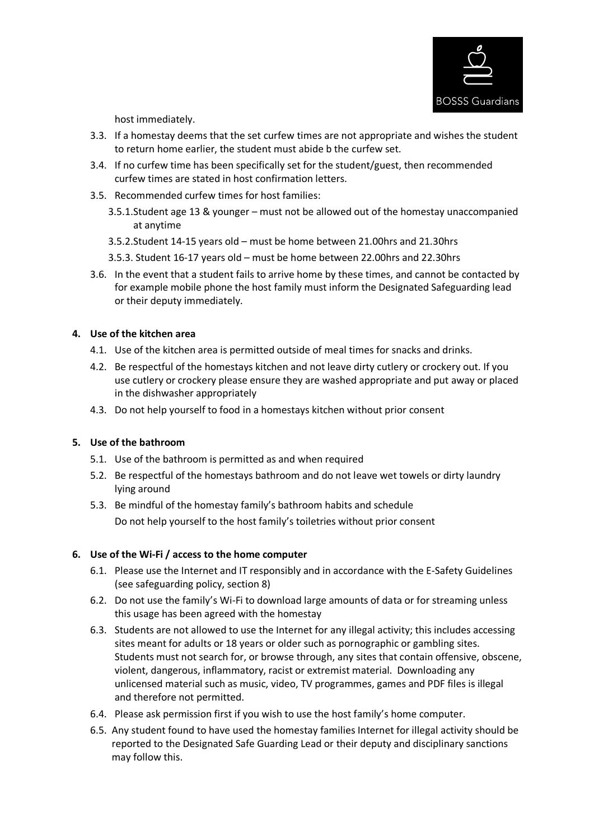

host immediately.

- 3.3. If a homestay deems that the set curfew times are not appropriate and wishes the student to return home earlier, the student must abide b the curfew set.
- 3.4. If no curfew time has been specifically set for the student/guest, then recommended curfew times are stated in host confirmation letters.
- 3.5. Recommended curfew times for host families:
	- 3.5.1.Student age 13 & younger must not be allowed out of the homestay unaccompanied at anytime
	- 3.5.2.Student 14-15 years old must be home between 21.00hrs and 21.30hrs
	- 3.5.3. Student 16-17 years old must be home between 22.00hrs and 22.30hrs
- 3.6. In the event that a student fails to arrive home by these times, and cannot be contacted by for example mobile phone the host family must inform the Designated Safeguarding lead or their deputy immediately.

## **4. Use of the kitchen area**

- 4.1. Use of the kitchen area is permitted outside of meal times for snacks and drinks.
- 4.2. Be respectful of the homestays kitchen and not leave dirty cutlery or crockery out. If you use cutlery or crockery please ensure they are washed appropriate and put away or placed in the dishwasher appropriately
- 4.3. Do not help yourself to food in a homestays kitchen without prior consent

# **5. Use of the bathroom**

- 5.1. Use of the bathroom is permitted as and when required
- 5.2. Be respectful of the homestays bathroom and do not leave wet towels or dirty laundry lying around
- 5.3. Be mindful of the homestay family's bathroom habits and schedule Do not help yourself to the host family's toiletries without prior consent

# **6. Use of the Wi-Fi / access to the home computer**

- 6.1. Please use the Internet and IT responsibly and in accordance with the E-Safety Guidelines (see safeguarding policy, section 8)
- 6.2. Do not use the family's Wi-Fi to download large amounts of data or for streaming unless this usage has been agreed with the homestay
- 6.3. Students are not allowed to use the Internet for any illegal activity; this includes accessing sites meant for adults or 18 years or older such as pornographic or gambling sites. Students must not search for, or browse through, any sites that contain offensive, obscene, violent, dangerous, inflammatory, racist or extremist material. Downloading any unlicensed material such as music, video, TV programmes, games and PDF files is illegal and therefore not permitted.
- 6.4. Please ask permission first if you wish to use the host family's home computer.
- 6.5. Any student found to have used the homestay families Internet for illegal activity should be reported to the Designated Safe Guarding Lead or their deputy and disciplinary sanctions may follow this.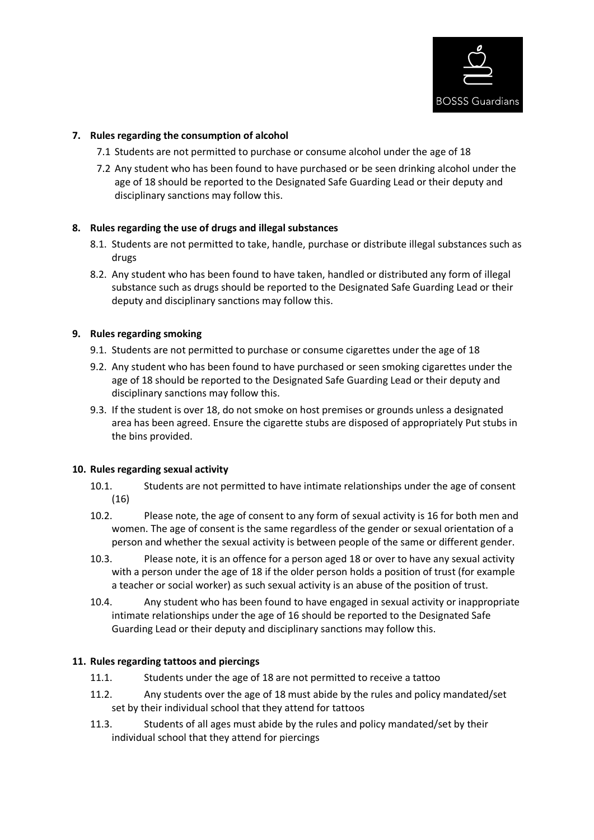

# **7. Rules regarding the consumption of alcohol**

- 7.1 Students are not permitted to purchase or consume alcohol under the age of 18
- 7.2 Any student who has been found to have purchased or be seen drinking alcohol under the age of 18 should be reported to the Designated Safe Guarding Lead or their deputy and disciplinary sanctions may follow this.

## **8. Rules regarding the use of drugs and illegal substances**

- 8.1. Students are not permitted to take, handle, purchase or distribute illegal substances such as drugs
- 8.2. Any student who has been found to have taken, handled or distributed any form of illegal substance such as drugs should be reported to the Designated Safe Guarding Lead or their deputy and disciplinary sanctions may follow this.

#### **9. Rules regarding smoking**

- 9.1. Students are not permitted to purchase or consume cigarettes under the age of 18
- 9.2. Any student who has been found to have purchased or seen smoking cigarettes under the age of 18 should be reported to the Designated Safe Guarding Lead or their deputy and disciplinary sanctions may follow this.
- 9.3. If the student is over 18, do not smoke on host premises or grounds unless a designated area has been agreed. Ensure the cigarette stubs are disposed of appropriately Put stubs in the bins provided.

#### **10. Rules regarding sexual activity**

- 10.1. Students are not permitted to have intimate relationships under the age of consent (16)
- 10.2. Please note, the age of consent to any form of sexual activity is 16 for both men and women. The age of consent is the same regardless of the gender or sexual orientation of a person and whether the sexual activity is between people of the same or different gender.
- 10.3. Please note, it is an offence for a person aged 18 or over to have any sexual activity with a person under the age of 18 if the older person holds a position of trust (for example a teacher or social worker) as such sexual activity is an abuse of the position of trust.
- 10.4. Any student who has been found to have engaged in sexual activity or inappropriate intimate relationships under the age of 16 should be reported to the Designated Safe Guarding Lead or their deputy and disciplinary sanctions may follow this.

#### **11. Rules regarding tattoos and piercings**

- 11.1. Students under the age of 18 are not permitted to receive a tattoo
- 11.2. Any students over the age of 18 must abide by the rules and policy mandated/set set by their individual school that they attend for tattoos
- 11.3. Students of all ages must abide by the rules and policy mandated/set by their individual school that they attend for piercings